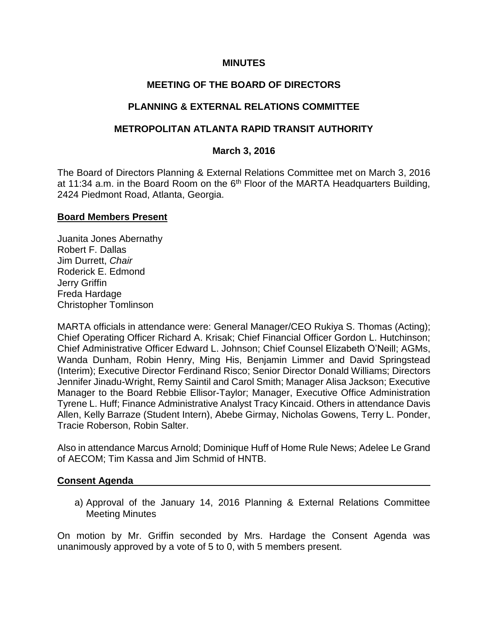#### **MINUTES**

# **MEETING OF THE BOARD OF DIRECTORS**

# **PLANNING & EXTERNAL RELATIONS COMMITTEE**

# **METROPOLITAN ATLANTA RAPID TRANSIT AUTHORITY**

#### **March 3, 2016**

The Board of Directors Planning & External Relations Committee met on March 3, 2016 at 11:34 a.m. in the Board Room on the  $6<sup>th</sup>$  Floor of the MARTA Headquarters Building, 2424 Piedmont Road, Atlanta, Georgia.

#### **Board Members Present**

Juanita Jones Abernathy Robert F. Dallas Jim Durrett, *Chair* Roderick E. Edmond Jerry Griffin Freda Hardage Christopher Tomlinson

MARTA officials in attendance were: General Manager/CEO Rukiya S. Thomas (Acting); Chief Operating Officer Richard A. Krisak; Chief Financial Officer Gordon L. Hutchinson; Chief Administrative Officer Edward L. Johnson; Chief Counsel Elizabeth O'Neill; AGMs, Wanda Dunham, Robin Henry, Ming His, Benjamin Limmer and David Springstead (Interim); Executive Director Ferdinand Risco; Senior Director Donald Williams; Directors Jennifer Jinadu-Wright, Remy Saintil and Carol Smith; Manager Alisa Jackson; Executive Manager to the Board Rebbie Ellisor-Taylor; Manager, Executive Office Administration Tyrene L. Huff; Finance Administrative Analyst Tracy Kincaid. Others in attendance Davis Allen, Kelly Barraze (Student Intern), Abebe Girmay, Nicholas Gowens, Terry L. Ponder, Tracie Roberson, Robin Salter.

Also in attendance Marcus Arnold; Dominique Huff of Home Rule News; Adelee Le Grand of AECOM; Tim Kassa and Jim Schmid of HNTB.

#### **Consent Agenda**

a) Approval of the January 14, 2016 Planning & External Relations Committee Meeting Minutes

On motion by Mr. Griffin seconded by Mrs. Hardage the Consent Agenda was unanimously approved by a vote of 5 to 0, with 5 members present.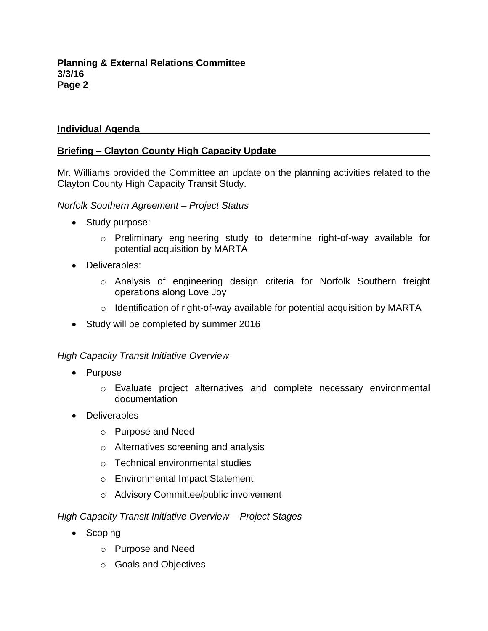# **Individual Agenda**

# **Briefing – Clayton County High Capacity Update**

Mr. Williams provided the Committee an update on the planning activities related to the Clayton County High Capacity Transit Study.

#### *Norfolk Southern Agreement – Project Status*

- Study purpose:
	- o Preliminary engineering study to determine right-of-way available for potential acquisition by MARTA
- Deliverables:
	- o Analysis of engineering design criteria for Norfolk Southern freight operations along Love Joy
	- o Identification of right-of-way available for potential acquisition by MARTA
- Study will be completed by summer 2016

# *High Capacity Transit Initiative Overview*

- Purpose
	- o Evaluate project alternatives and complete necessary environmental documentation
- Deliverables
	- o Purpose and Need
	- o Alternatives screening and analysis
	- o Technical environmental studies
	- o Environmental Impact Statement
	- o Advisory Committee/public involvement

# *High Capacity Transit Initiative Overview – Project Stages*

- Scoping
	- o Purpose and Need
	- o Goals and Objectives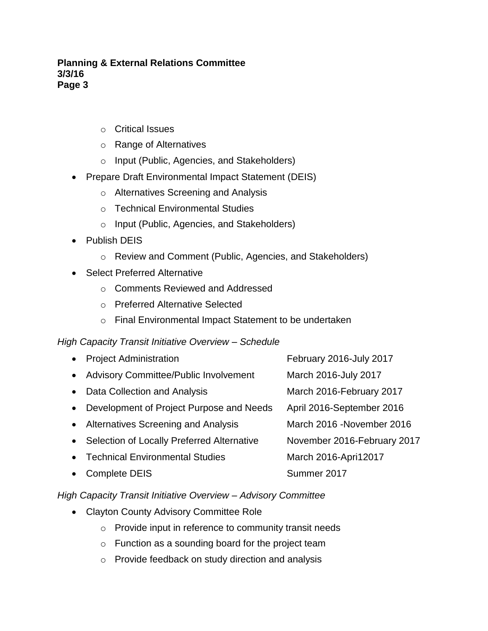#### **Planning & External Relations Committee 3/3/16 Page 3**

- o Critical Issues
- o Range of Alternatives
- o Input (Public, Agencies, and Stakeholders)
- Prepare Draft Environmental Impact Statement (DEIS)
	- o Alternatives Screening and Analysis
	- o Technical Environmental Studies
	- o Input (Public, Agencies, and Stakeholders)
- Publish DEIS
	- o Review and Comment (Public, Agencies, and Stakeholders)
- Select Preferred Alternative
	- o Comments Reviewed and Addressed
	- o Preferred Alternative Selected
	- o Final Environmental Impact Statement to be undertaken

# *High Capacity Transit Initiative Overview – Schedule*

| $\bullet$ | <b>Project Administration</b>                | February 2016-July 2017     |
|-----------|----------------------------------------------|-----------------------------|
| $\bullet$ | <b>Advisory Committee/Public Involvement</b> | March 2016-July 2017        |
| $\bullet$ | Data Collection and Analysis                 | March 2016-February 2017    |
| $\bullet$ | Development of Project Purpose and Needs     | April 2016-September 2016   |
|           | • Alternatives Screening and Analysis        | March 2016 - November 2016  |
| $\bullet$ | Selection of Locally Preferred Alternative   | November 2016-February 2017 |
| $\bullet$ | <b>Technical Environmental Studies</b>       | March 2016-Apri12017        |
|           | <b>Complete DEIS</b>                         | Summer 2017                 |
|           |                                              |                             |

# *High Capacity Transit Initiative Overview – Advisory Committee*

- Clayton County Advisory Committee Role
	- $\circ$  Provide input in reference to community transit needs
	- o Function as a sounding board for the project team
	- o Provide feedback on study direction and analysis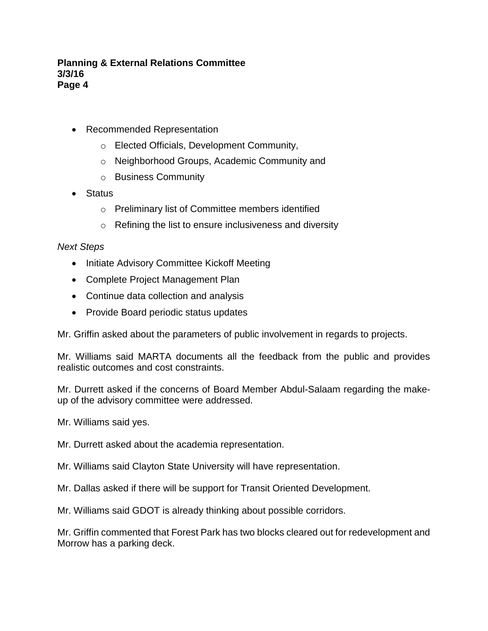#### **Planning & External Relations Committee 3/3/16 Page 4**

- Recommended Representation
	- o Elected Officials, Development Community,
	- o Neighborhood Groups, Academic Community and
	- o Business Community
- Status
	- o Preliminary list of Committee members identified
	- o Refining the list to ensure inclusiveness and diversity

# *Next Steps*

- Initiate Advisory Committee Kickoff Meeting
- Complete Project Management Plan
- Continue data collection and analysis
- Provide Board periodic status updates

Mr. Griffin asked about the parameters of public involvement in regards to projects.

Mr. Williams said MARTA documents all the feedback from the public and provides realistic outcomes and cost constraints.

Mr. Durrett asked if the concerns of Board Member Abdul-Salaam regarding the makeup of the advisory committee were addressed.

Mr. Williams said yes.

Mr. Durrett asked about the academia representation.

Mr. Williams said Clayton State University will have representation.

Mr. Dallas asked if there will be support for Transit Oriented Development.

Mr. Williams said GDOT is already thinking about possible corridors.

Mr. Griffin commented that Forest Park has two blocks cleared out for redevelopment and Morrow has a parking deck.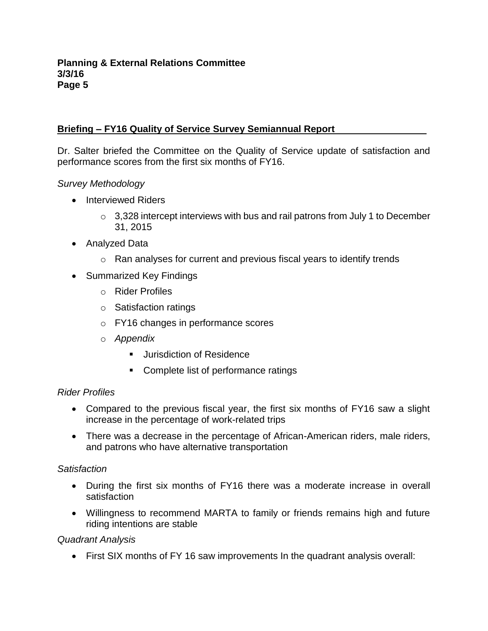# **Briefing – FY16 Quality of Service Survey Semiannual Report**

Dr. Salter briefed the Committee on the Quality of Service update of satisfaction and performance scores from the first six months of FY16.

# *Survey Methodology*

- Interviewed Riders
	- $\circ$  3,328 intercept interviews with bus and rail patrons from July 1 to December 31, 2015
- Analyzed Data
	- $\circ$  Ran analyses for current and previous fiscal years to identify trends
- Summarized Key Findings
	- o Rider Profiles
	- o Satisfaction ratings
	- o FY16 changes in performance scores
	- o *Appendix* 
		- **Jurisdiction of Residence**
		- Complete list of performance ratings

# *Rider Profiles*

- Compared to the previous fiscal year, the first six months of FY16 saw a slight increase in the percentage of work-related trips
- There was a decrease in the percentage of African-American riders, male riders, and patrons who have alternative transportation

# *Satisfaction*

- During the first six months of FY16 there was a moderate increase in overall satisfaction
- Willingness to recommend MARTA to family or friends remains high and future riding intentions are stable

# *Quadrant Analysis*

First SIX months of FY 16 saw improvements In the quadrant analysis overall: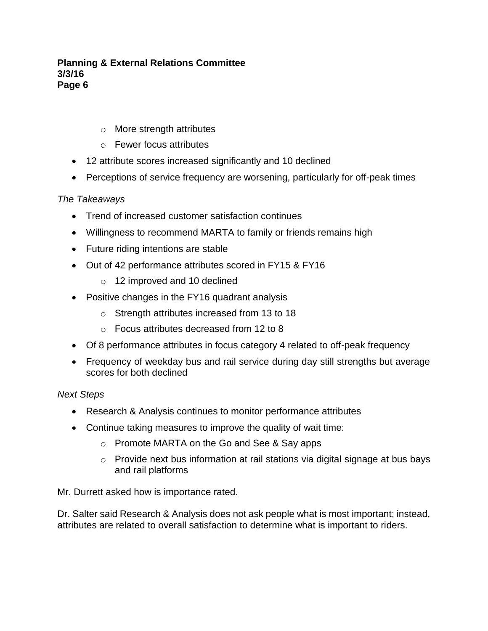#### **Planning & External Relations Committee 3/3/16 Page 6**

- o More strength attributes
- o Fewer focus attributes
- 12 attribute scores increased significantly and 10 declined
- Perceptions of service frequency are worsening, particularly for off-peak times

# *The Takeaways*

- Trend of increased customer satisfaction continues
- Willingness to recommend MARTA to family or friends remains high
- Future riding intentions are stable
- Out of 42 performance attributes scored in FY15 & FY16
	- o 12 improved and 10 declined
- Positive changes in the FY16 quadrant analysis
	- o Strength attributes increased from 13 to 18
	- o Focus attributes decreased from 12 to 8
- Of 8 performance attributes in focus category 4 related to off-peak frequency
- Frequency of weekday bus and rail service during day still strengths but average scores for both declined

# *Next Steps*

- Research & Analysis continues to monitor performance attributes
- Continue taking measures to improve the quality of wait time:
	- o Promote MARTA on the Go and See & Say apps
	- o Provide next bus information at rail stations via digital signage at bus bays and rail platforms

Mr. Durrett asked how is importance rated.

Dr. Salter said Research & Analysis does not ask people what is most important; instead, attributes are related to overall satisfaction to determine what is important to riders.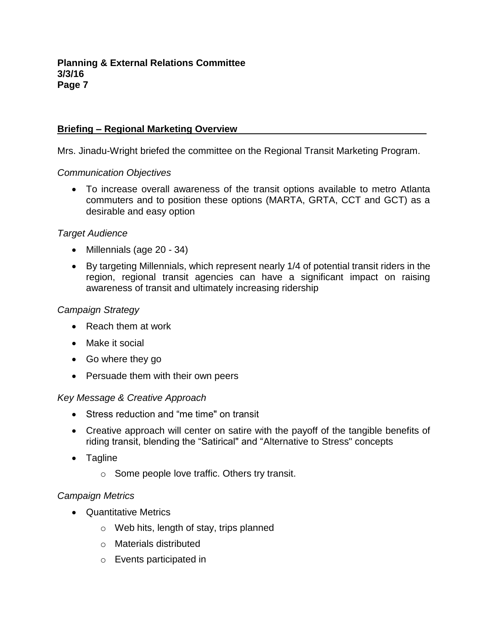#### **Briefing – Regional Marketing Overview**

Mrs. Jinadu-Wright briefed the committee on the Regional Transit Marketing Program.

#### *Communication Objectives*

 To increase overall awareness of the transit options available to metro Atlanta commuters and to position these options (MARTA, GRTA, CCT and GCT) as a desirable and easy option

#### *Target Audience*

- Millennials (age 20 34)
- By targeting Millennials, which represent nearly 1/4 of potential transit riders in the region, regional transit agencies can have a significant impact on raising awareness of transit and ultimately increasing ridership

#### *Campaign Strategy*

- Reach them at work
- Make it social
- Go where they go
- Persuade them with their own peers

#### *Key Message & Creative Approach*

- Stress reduction and "me time" on transit
- Creative approach will center on satire with the payoff of the tangible benefits of riding transit, blending the "Satirical" and "Alternative to Stress" concepts
- Tagline
	- o Some people love traffic. Others try transit.

# *Campaign Metrics*

- Quantitative Metrics
	- o Web hits, length of stay, trips planned
	- o Materials distributed
	- o Events participated in